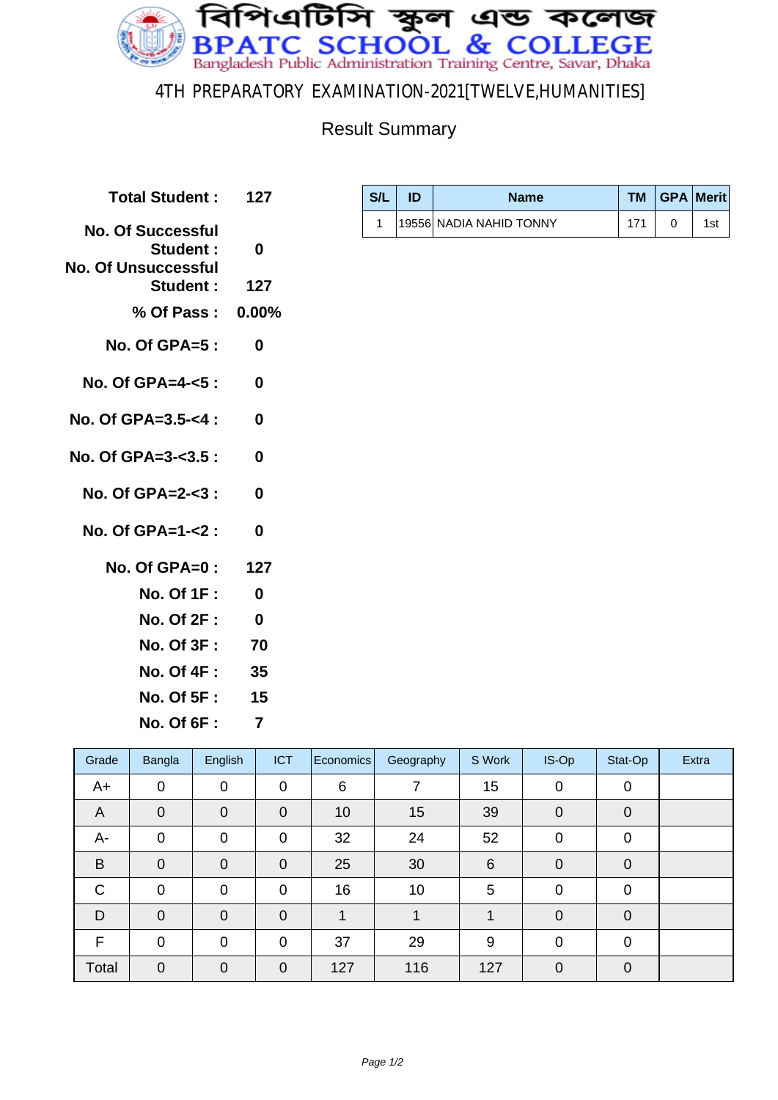

4TH PREPARATORY EXAMINATION-2021[TWELVE,HUMANITIES]

## Result Summary

| Total Student: 127                                                        |              |
|---------------------------------------------------------------------------|--------------|
| <b>No. Of Successful</b><br><b>Student:</b><br><b>No. Of Unsuccessful</b> | 0            |
| Student: 127                                                              |              |
| % Of Pass: 0.00%                                                          |              |
| No. Of GPA=5 :                                                            | 0            |
| No. Of GPA=4- $<$ 5 :                                                     | 0            |
| No. Of GPA= $3.5 - 4$ :                                                   | 0            |
| No. Of GPA=3- $3.5:$                                                      | 0            |
| No. Of $GPA = 2 - 3$ :                                                    | 0            |
| No. Of $GPA = 1 - 2$ :                                                    | $\mathbf{0}$ |
| No. Of GPA=0: 127                                                         |              |
| <b>No. Of 1F :</b>                                                        | 0            |
| <b>No. Of 2F :</b>                                                        | $\bf{0}$     |
| <b>No. Of 3F :</b>                                                        | 70           |
| No. Of 4F :                                                               | 35           |
| No. Of 5F :                                                               | 15           |

| S/L | <b>Name</b>              |     | TM   GPA   Merit |
|-----|--------------------------|-----|------------------|
|     | 19556  NADIA NAHID TONNY | 171 | 1st              |

**No. Of 6F : 7**

| Grade        | Bangla         | English        | <b>ICT</b>  | <b>Economics</b> | Geography | S Work | IS-Op          | Stat-Op        | Extra |
|--------------|----------------|----------------|-------------|------------------|-----------|--------|----------------|----------------|-------|
| A+           | $\mathbf 0$    | $\mathbf 0$    | $\mathbf 0$ | 6                |           | 15     | $\mathbf 0$    | $\mathbf 0$    |       |
| A            | $\overline{0}$ | $\overline{0}$ | $\mathbf 0$ | 10               | 15        | 39     | $\mathbf 0$    | $\overline{0}$ |       |
| А-           | $\mathbf 0$    | $\overline{0}$ | $\mathbf 0$ | 32               | 24        | 52     | 0              | 0              |       |
| B            | $\overline{0}$ | $\overline{0}$ | $\mathbf 0$ | 25               | 30        | 6      | $\overline{0}$ | $\overline{0}$ |       |
| $\mathsf{C}$ | $\overline{0}$ | $\overline{0}$ | $\mathbf 0$ | 16               | 10        | 5      | $\overline{0}$ | $\mathbf 0$    |       |
| D            | $\mathbf 0$    | $\overline{0}$ | $\mathbf 0$ |                  |           |        | $\mathbf 0$    | $\mathbf 0$    |       |
| F            | $\overline{0}$ | $\overline{0}$ | $\mathbf 0$ | 37               | 29        | 9      | 0              | $\mathbf 0$    |       |
| Total        | $\Omega$       | $\overline{0}$ | $\mathbf 0$ | 127              | 116       | 127    | $\Omega$       | $\overline{0}$ |       |